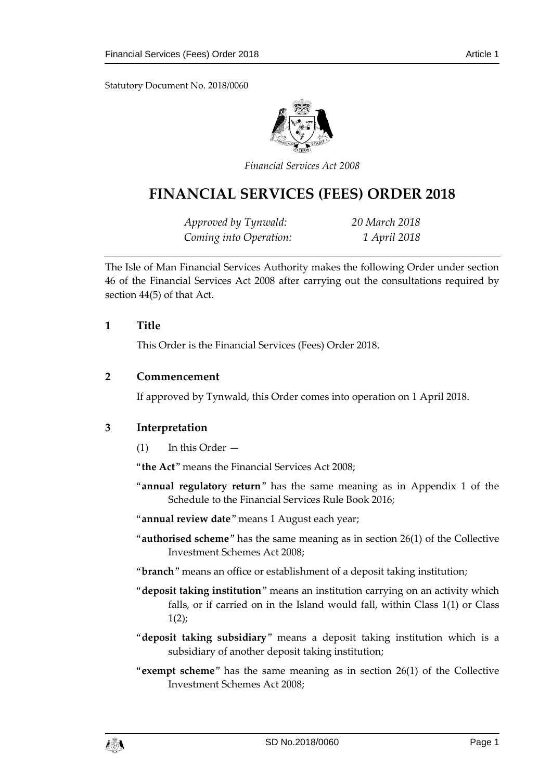Statutory Document No. 2018/0060



*Financial Services Act 2008*

# **FINANCIAL SERVICES (FEES) ORDER 2018**

*Approved by Tynwald: 20 March 2018 Coming into Operation: 1 April 2018*

The Isle of Man Financial Services Authority makes the following Order under section 46 of the Financial Services Act 2008 after carrying out the consultations required by section 44(5) of that Act.

#### **1 Title**

This Order is the Financial Services (Fees) Order 2018.

#### **2 Commencement**

If approved by Tynwald, this Order comes into operation on 1 April 2018.

#### **3 Interpretation**

(1) In this Order —

"**the Act**" means the Financial Services Act 2008;

"**annual regulatory return**" has the same meaning as in Appendix 1 of the Schedule to the Financial Services Rule Book 2016;

"**annual review date**" means 1 August each year;

- "**authorised scheme**" has the same meaning as in section 26(1) of the Collective Investment Schemes Act 2008;
- "**branch**" means an office or establishment of a deposit taking institution;
- "**deposit taking institution**" means an institution carrying on an activity which falls, or if carried on in the Island would fall, within Class 1(1) or Class  $1(2)$ ;
- "**deposit taking subsidiary**" means a deposit taking institution which is a subsidiary of another deposit taking institution;
- "**exempt scheme**" has the same meaning as in section 26(1) of the Collective Investment Schemes Act 2008;

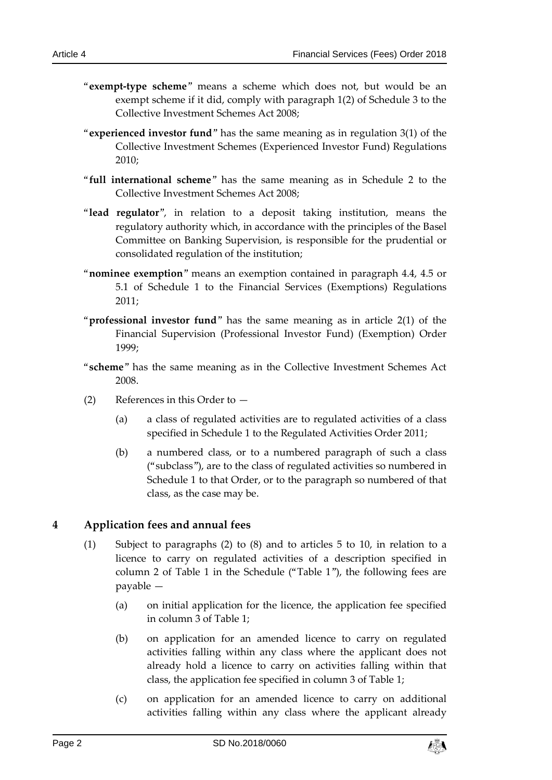- "**exempt-type scheme**" means a scheme which does not, but would be an exempt scheme if it did, comply with paragraph 1(2) of Schedule 3 to the Collective Investment Schemes Act 2008;
- "**experienced investor fund**" has the same meaning as in regulation 3(1) of the Collective Investment Schemes (Experienced Investor Fund) Regulations 2010;
- "**full international scheme**" has the same meaning as in Schedule 2 to the Collective Investment Schemes Act 2008;
- "**lead regulator**", in relation to a deposit taking institution, means the regulatory authority which, in accordance with the principles of the Basel Committee on Banking Supervision, is responsible for the prudential or consolidated regulation of the institution;
- "**nominee exemption**" means an exemption contained in paragraph 4.4, 4.5 or 5.1 of Schedule 1 to the Financial Services (Exemptions) Regulations 2011;
- "**professional investor fund**" has the same meaning as in article 2(1) of the Financial Supervision (Professional Investor Fund) (Exemption) Order 1999;
- "**scheme**" has the same meaning as in the Collective Investment Schemes Act 2008.
- (2) References in this Order to
	- (a) a class of regulated activities are to regulated activities of a class specified in Schedule 1 to the Regulated Activities Order 2011;
	- (b) a numbered class, or to a numbered paragraph of such a class ("subclass"), are to the class of regulated activities so numbered in Schedule 1 to that Order, or to the paragraph so numbered of that class, as the case may be.

## **4 Application fees and annual fees**

- (1) Subject to paragraphs (2) to (8) and to articles 5 to 10, in relation to a licence to carry on regulated activities of a description specified in column 2 of Table 1 in the Schedule ("Table 1"), the following fees are payable —
	- (a) on initial application for the licence, the application fee specified in column 3 of Table 1;
	- (b) on application for an amended licence to carry on regulated activities falling within any class where the applicant does not already hold a licence to carry on activities falling within that class, the application fee specified in column 3 of Table 1;
	- (c) on application for an amended licence to carry on additional activities falling within any class where the applicant already

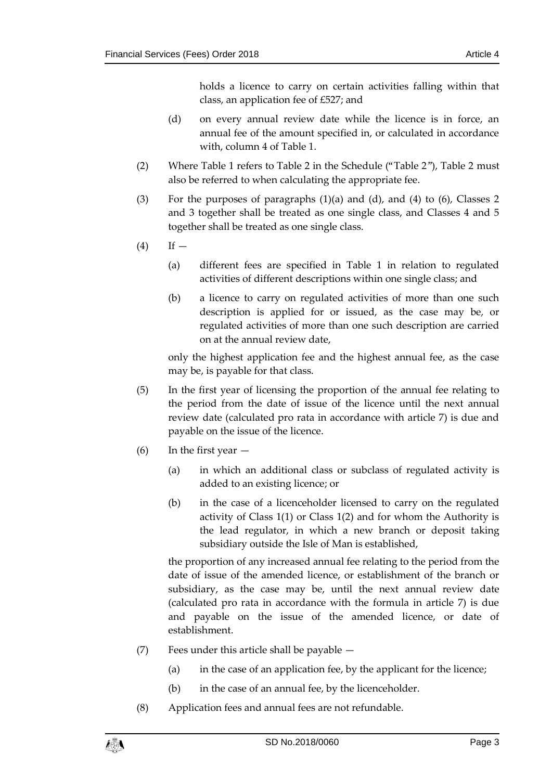holds a licence to carry on certain activities falling within that class, an application fee of £527; and

- (d) on every annual review date while the licence is in force, an annual fee of the amount specified in, or calculated in accordance with, column 4 of Table 1.
- (2) Where Table 1 refers to Table 2 in the Schedule ("Table 2"), Table 2 must also be referred to when calculating the appropriate fee.
- (3) For the purposes of paragraphs  $(1)(a)$  and  $(d)$ , and  $(4)$  to  $(6)$ , Classes 2 and 3 together shall be treated as one single class, and Classes 4 and 5 together shall be treated as one single class.
- $(4)$  If
	- (a) different fees are specified in Table 1 in relation to regulated activities of different descriptions within one single class; and
	- (b) a licence to carry on regulated activities of more than one such description is applied for or issued, as the case may be, or regulated activities of more than one such description are carried on at the annual review date,

only the highest application fee and the highest annual fee, as the case may be, is payable for that class.

- (5) In the first year of licensing the proportion of the annual fee relating to the period from the date of issue of the licence until the next annual review date (calculated pro rata in accordance with article 7) is due and payable on the issue of the licence.
- (6) In the first year  $-$ 
	- (a) in which an additional class or subclass of regulated activity is added to an existing licence; or
	- (b) in the case of a licenceholder licensed to carry on the regulated activity of Class 1(1) or Class 1(2) and for whom the Authority is the lead regulator, in which a new branch or deposit taking subsidiary outside the Isle of Man is established,

the proportion of any increased annual fee relating to the period from the date of issue of the amended licence, or establishment of the branch or subsidiary, as the case may be, until the next annual review date (calculated pro rata in accordance with the formula in article 7) is due and payable on the issue of the amended licence, or date of establishment.

- (7) Fees under this article shall be payable
	- (a) in the case of an application fee, by the applicant for the licence;
	- (b) in the case of an annual fee, by the licenceholder.
- (8) Application fees and annual fees are not refundable.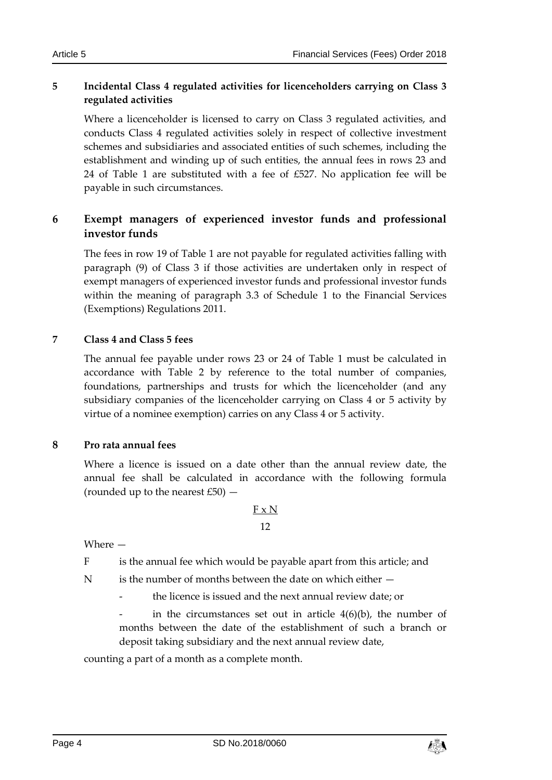### **5 Incidental Class 4 regulated activities for licenceholders carrying on Class 3 regulated activities**

Where a licenceholder is licensed to carry on Class 3 regulated activities, and conducts Class 4 regulated activities solely in respect of collective investment schemes and subsidiaries and associated entities of such schemes, including the establishment and winding up of such entities, the annual fees in rows 23 and 24 of Table 1 are substituted with a fee of £527. No application fee will be payable in such circumstances.

## **6 Exempt managers of experienced investor funds and professional investor funds**

The fees in row 19 of Table 1 are not payable for regulated activities falling with paragraph (9) of Class 3 if those activities are undertaken only in respect of exempt managers of experienced investor funds and professional investor funds within the meaning of paragraph 3.3 of Schedule 1 to the Financial Services (Exemptions) Regulations 2011.

#### **7 Class 4 and Class 5 fees**

The annual fee payable under rows 23 or 24 of Table 1 must be calculated in accordance with Table 2 by reference to the total number of companies, foundations, partnerships and trusts for which the licenceholder (and any subsidiary companies of the licenceholder carrying on Class 4 or 5 activity by virtue of a nominee exemption) carries on any Class 4 or 5 activity.

#### **8 Pro rata annual fees**

Where a licence is issued on a date other than the annual review date, the annual fee shall be calculated in accordance with the following formula (rounded up to the nearest  $£50$ )  $-$ 

#### F x N 12

Where —

F is the annual fee which would be payable apart from this article; and

 $N$  is the number of months between the date on which either  $-$ 

the licence is issued and the next annual review date; or

in the circumstances set out in article  $4(6)(b)$ , the number of months between the date of the establishment of such a branch or deposit taking subsidiary and the next annual review date,

counting a part of a month as a complete month.

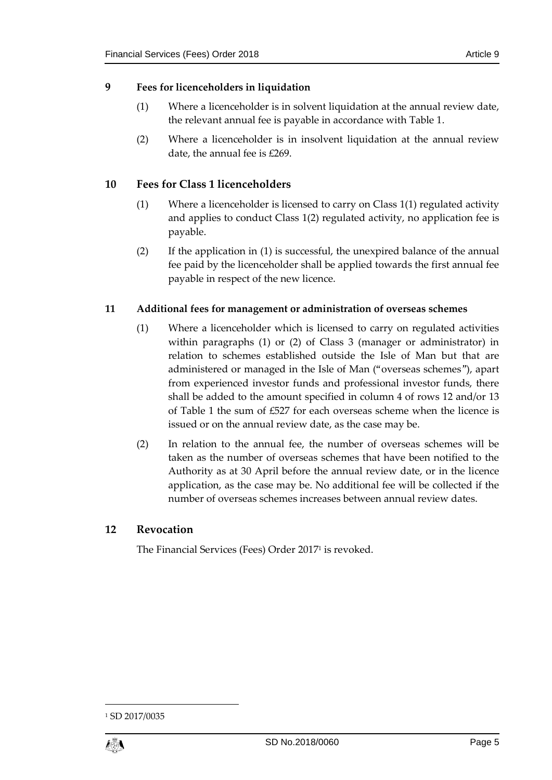#### **9 Fees for licenceholders in liquidation**

- (1) Where a licenceholder is in solvent liquidation at the annual review date, the relevant annual fee is payable in accordance with Table 1.
- (2) Where a licenceholder is in insolvent liquidation at the annual review date, the annual fee is £269.

#### **10 Fees for Class 1 licenceholders**

- (1) Where a licenceholder is licensed to carry on Class 1(1) regulated activity and applies to conduct Class 1(2) regulated activity, no application fee is payable.
- (2) If the application in (1) is successful, the unexpired balance of the annual fee paid by the licenceholder shall be applied towards the first annual fee payable in respect of the new licence.

#### **11 Additional fees for management or administration of overseas schemes**

- (1) Where a licenceholder which is licensed to carry on regulated activities within paragraphs (1) or (2) of Class 3 (manager or administrator) in relation to schemes established outside the Isle of Man but that are administered or managed in the Isle of Man ("overseas schemes"), apart from experienced investor funds and professional investor funds, there shall be added to the amount specified in column 4 of rows 12 and/or 13 of Table 1 the sum of £527 for each overseas scheme when the licence is issued or on the annual review date, as the case may be.
- (2) In relation to the annual fee, the number of overseas schemes will be taken as the number of overseas schemes that have been notified to the Authority as at 30 April before the annual review date, or in the licence application, as the case may be. No additional fee will be collected if the number of overseas schemes increases between annual review dates.

#### **12 Revocation**

The Financial Services (Fees) Order 2017<sup>1</sup> is revoked.

<sup>1</sup> SD 2017/0035



1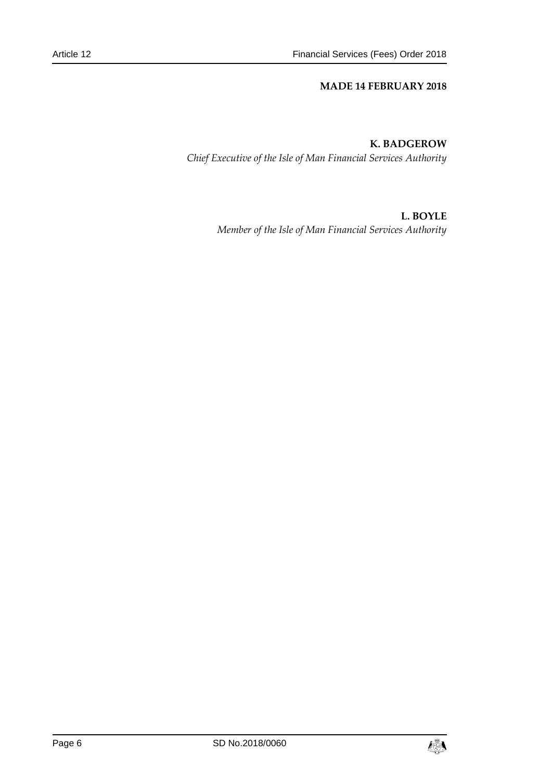#### **MADE 14 FEBRUARY 2018**

#### **K. BADGEROW**

*Chief Executive of the Isle of Man Financial Services Authority*

#### **L. BOYLE**

*Member of the Isle of Man Financial Services Authority*

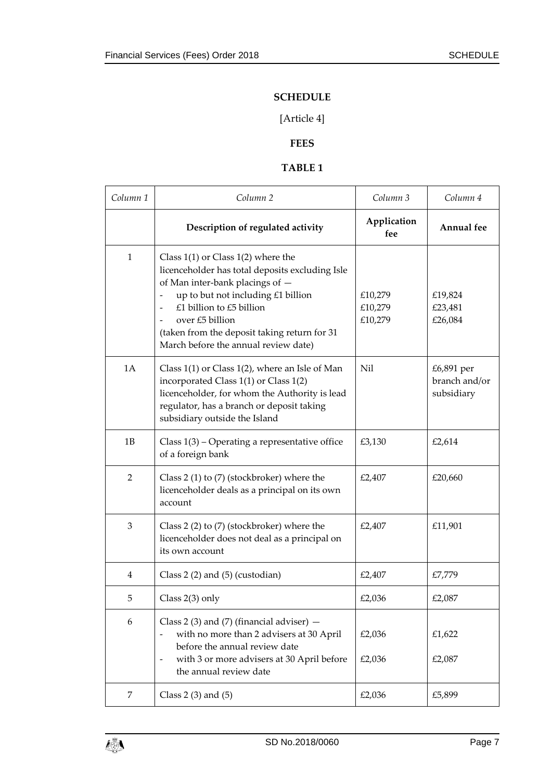#### **SCHEDULE**

## [Article 4]

## **FEES**

#### **TABLE 1**

| Column <sub>1</sub> | Column <sub>2</sub>                                                                                                                                                                                                                                                                                       | Column 3                      | Column 4                                  |
|---------------------|-----------------------------------------------------------------------------------------------------------------------------------------------------------------------------------------------------------------------------------------------------------------------------------------------------------|-------------------------------|-------------------------------------------|
|                     | Description of regulated activity                                                                                                                                                                                                                                                                         | Application<br>fee            | Annual fee                                |
| 1                   | Class $1(1)$ or Class $1(2)$ where the<br>licenceholder has total deposits excluding Isle<br>of Man inter-bank placings of -<br>up to but not including £1 billion<br>£1 billion to £5 billion<br>over £5 billion<br>(taken from the deposit taking return for 31<br>March before the annual review date) | £10,279<br>£10,279<br>£10,279 | £19,824<br>£23,481<br>£26,084             |
| 1A                  | Class $1(1)$ or Class $1(2)$ , where an Isle of Man<br>incorporated Class 1(1) or Class 1(2)<br>licenceholder, for whom the Authority is lead<br>regulator, has a branch or deposit taking<br>subsidiary outside the Island                                                                               | Nil                           | £6,891 per<br>branch and/or<br>subsidiary |
| 1B                  | Class $1(3)$ – Operating a representative office<br>of a foreign bank                                                                                                                                                                                                                                     | £3,130                        | £2,614                                    |
| $\overline{2}$      | Class 2 (1) to (7) (stockbroker) where the<br>licenceholder deals as a principal on its own<br>account                                                                                                                                                                                                    | £2,407                        | £20,660                                   |
| 3                   | Class 2 (2) to (7) (stockbroker) where the<br>licenceholder does not deal as a principal on<br>its own account                                                                                                                                                                                            | £2,407                        | £11,901                                   |
| 4                   | Class $2(2)$ and $(5)$ (custodian)                                                                                                                                                                                                                                                                        | £2,407                        | £7,779                                    |
| 5                   | Class 2(3) only                                                                                                                                                                                                                                                                                           | £2,036                        | £2,087                                    |
| 6                   | Class 2 (3) and (7) (financial adviser) $-$<br>with no more than 2 advisers at 30 April<br>before the annual review date<br>with 3 or more advisers at 30 April before<br>$\overline{\phantom{a}}$<br>the annual review date                                                                              | £2,036<br>£2,036              | £1,622<br>£2,087                          |
| 7                   | Class $2(3)$ and $(5)$                                                                                                                                                                                                                                                                                    | £2,036                        | £5,899                                    |

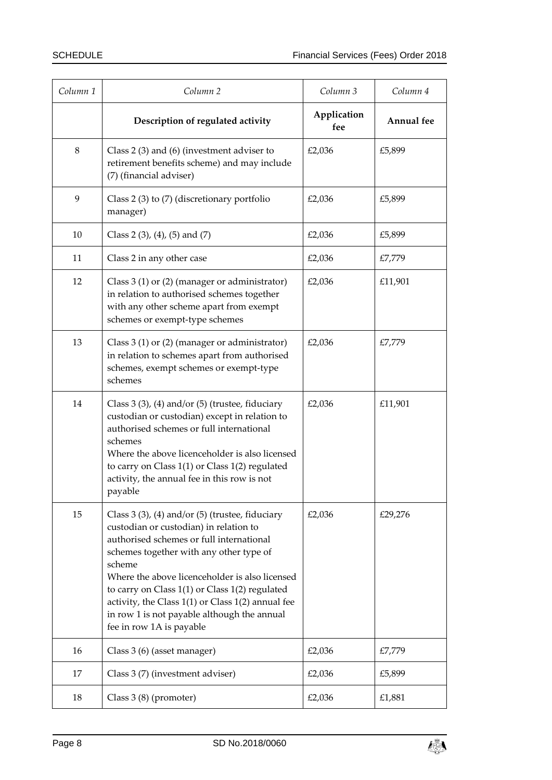| Column 1 | Column <sub>2</sub>                                                                                                                                                                                                                                                                                                                                                                                                                          | Column 3           | Column 4   |
|----------|----------------------------------------------------------------------------------------------------------------------------------------------------------------------------------------------------------------------------------------------------------------------------------------------------------------------------------------------------------------------------------------------------------------------------------------------|--------------------|------------|
|          | Description of regulated activity                                                                                                                                                                                                                                                                                                                                                                                                            | Application<br>fee | Annual fee |
| $\,8\,$  | Class $2(3)$ and $(6)$ (investment adviser to<br>retirement benefits scheme) and may include<br>(7) (financial adviser)                                                                                                                                                                                                                                                                                                                      | £2,036             | £5,899     |
| 9        | Class 2 (3) to (7) (discretionary portfolio<br>manager)                                                                                                                                                                                                                                                                                                                                                                                      | £2,036             | £5,899     |
| 10       | Class 2 $(3)$ , $(4)$ , $(5)$ and $(7)$                                                                                                                                                                                                                                                                                                                                                                                                      | £2,036             | £5,899     |
| 11       | Class 2 in any other case                                                                                                                                                                                                                                                                                                                                                                                                                    | £2,036             | £7,779     |
| 12       | Class $3(1)$ or $(2)$ (manager or administrator)<br>in relation to authorised schemes together<br>with any other scheme apart from exempt<br>schemes or exempt-type schemes                                                                                                                                                                                                                                                                  | £2,036             | £11,901    |
| 13       | Class 3 (1) or (2) (manager or administrator)<br>in relation to schemes apart from authorised<br>schemes, exempt schemes or exempt-type<br>schemes                                                                                                                                                                                                                                                                                           | £2,036             | £7,779     |
| 14       | Class $3(3)$ , $(4)$ and/or $(5)$ (trustee, fiduciary<br>custodian or custodian) except in relation to<br>authorised schemes or full international<br>schemes<br>Where the above licenceholder is also licensed<br>to carry on Class 1(1) or Class 1(2) regulated<br>activity, the annual fee in this row is not<br>payable                                                                                                                  | £2,036             | £11,901    |
| 15       | Class $3(3)$ , $(4)$ and/or $(5)$ (trustee, fiduciary<br>custodian or custodian) in relation to<br>authorised schemes or full international<br>schemes together with any other type of<br>scheme<br>Where the above licenceholder is also licensed<br>to carry on Class $1(1)$ or Class $1(2)$ regulated<br>activity, the Class $1(1)$ or Class $1(2)$ annual fee<br>in row 1 is not payable although the annual<br>fee in row 1A is payable | £2,036             | £29,276    |
| 16       | Class 3 (6) (asset manager)                                                                                                                                                                                                                                                                                                                                                                                                                  | £2,036             | £7,779     |
| 17       | Class 3 (7) (investment adviser)                                                                                                                                                                                                                                                                                                                                                                                                             | £2,036             | £5,899     |
| 18       | Class 3 (8) (promoter)                                                                                                                                                                                                                                                                                                                                                                                                                       | £2,036             | £1,881     |

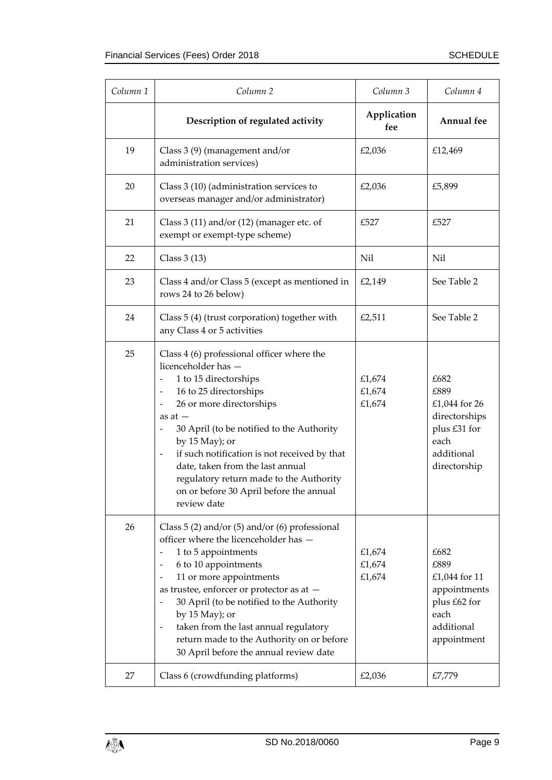| Column <sub>1</sub> | Column <sub>2</sub>                                                                                                                                                                                                                                                                                                                                                                                                                                                                                               | Column 3                   | Column 4                                                                                             |
|---------------------|-------------------------------------------------------------------------------------------------------------------------------------------------------------------------------------------------------------------------------------------------------------------------------------------------------------------------------------------------------------------------------------------------------------------------------------------------------------------------------------------------------------------|----------------------------|------------------------------------------------------------------------------------------------------|
|                     | Description of regulated activity                                                                                                                                                                                                                                                                                                                                                                                                                                                                                 | Application<br>fee         | <b>Annual</b> fee                                                                                    |
| 19                  | Class 3 (9) (management and/or<br>administration services)                                                                                                                                                                                                                                                                                                                                                                                                                                                        | £2,036                     | £12,469                                                                                              |
| 20                  | Class 3 (10) (administration services to<br>overseas manager and/or administrator)                                                                                                                                                                                                                                                                                                                                                                                                                                | £2,036                     | £5,899                                                                                               |
| 21                  | Class $3(11)$ and/or $(12)$ (manager etc. of<br>exempt or exempt-type scheme)                                                                                                                                                                                                                                                                                                                                                                                                                                     | £527                       | £527                                                                                                 |
| 22                  | Class $3(13)$                                                                                                                                                                                                                                                                                                                                                                                                                                                                                                     | Nil                        | Nil                                                                                                  |
| 23                  | Class 4 and/or Class 5 (except as mentioned in<br>rows 24 to 26 below)                                                                                                                                                                                                                                                                                                                                                                                                                                            | £2,149                     | See Table 2                                                                                          |
| 24                  | Class 5 (4) (trust corporation) together with<br>any Class 4 or 5 activities                                                                                                                                                                                                                                                                                                                                                                                                                                      | £2,511                     | See Table 2                                                                                          |
| 25                  | Class 4 (6) professional officer where the<br>licenceholder has -<br>1 to 15 directorships<br>16 to 25 directorships<br>$\qquad \qquad \blacksquare$<br>26 or more directorships<br>$\qquad \qquad \blacksquare$<br>as at $-$<br>30 April (to be notified to the Authority<br>by 15 May); or<br>if such notification is not received by that<br>$\overline{\phantom{a}}$<br>date, taken from the last annual<br>regulatory return made to the Authority<br>on or before 30 April before the annual<br>review date | £1,674<br>£1,674<br>£1,674 | £682<br>£889<br>£1,044 for 26<br>directorships<br>plus £31 for<br>each<br>additional<br>directorship |
| 26                  | Class $5(2)$ and/or $(5)$ and/or $(6)$ professional<br>officer where the licenceholder has -<br>1 to 5 appointments<br>6 to 10 appointments<br>11 or more appointments<br>$\qquad \qquad \blacksquare$<br>as trustee, enforcer or protector as at -<br>30 April (to be notified to the Authority<br>by $15$ May); or<br>taken from the last annual regulatory<br>$\overline{\phantom{a}}$<br>return made to the Authority on or before<br>30 April before the annual review date                                  | £1,674<br>£1,674<br>£1,674 | £682<br>£889<br>£1,044 for 11<br>appointments<br>plus £62 for<br>each<br>additional<br>appointment   |
| 27                  | Class 6 (crowdfunding platforms)                                                                                                                                                                                                                                                                                                                                                                                                                                                                                  | £2,036                     | £7,779                                                                                               |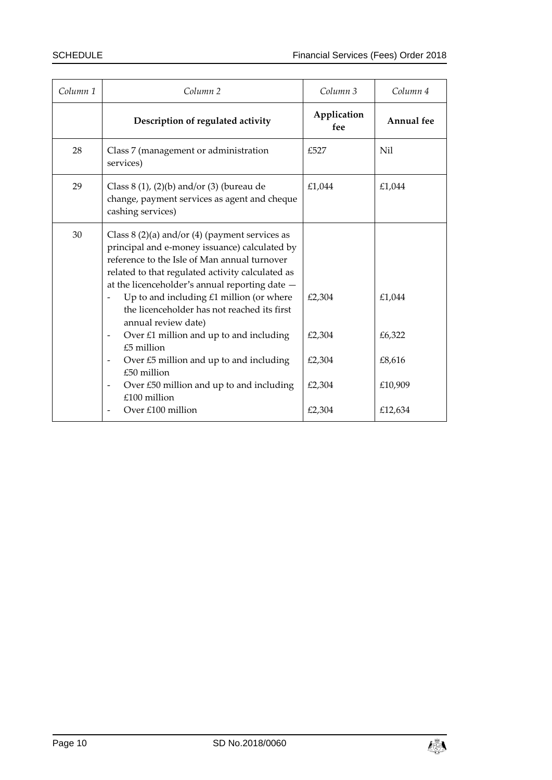| Column <sub>1</sub> | Column <sub>2</sub>                                                                                                                                                                                                                                                                                                                                                                                                                                                                                                                                                                    | Column 3                                       | Column 4                                         |
|---------------------|----------------------------------------------------------------------------------------------------------------------------------------------------------------------------------------------------------------------------------------------------------------------------------------------------------------------------------------------------------------------------------------------------------------------------------------------------------------------------------------------------------------------------------------------------------------------------------------|------------------------------------------------|--------------------------------------------------|
|                     | Description of regulated activity                                                                                                                                                                                                                                                                                                                                                                                                                                                                                                                                                      | Application<br>fee                             | <b>Annual</b> fee                                |
| 28                  | Class 7 (management or administration<br>services)                                                                                                                                                                                                                                                                                                                                                                                                                                                                                                                                     | £527                                           | Nil                                              |
| 29                  | Class $8(1)$ , $(2)(b)$ and/or $(3)$ (bureau de<br>change, payment services as agent and cheque<br>cashing services)                                                                                                                                                                                                                                                                                                                                                                                                                                                                   | £1,044                                         | £1,044                                           |
| 30                  | Class $8(2)(a)$ and/or $(4)$ (payment services as<br>principal and e-money issuance) calculated by<br>reference to the Isle of Man annual turnover<br>related to that regulated activity calculated as<br>at the licenceholder's annual reporting date -<br>Up to and including $£1$ million (or where<br>the licenceholder has not reached its first<br>annual review date)<br>Over $£1$ million and up to and including<br>$£5$ million<br>Over £5 million and up to and including<br>$£50$ million<br>Over £50 million and up to and including<br>£100 million<br>Over £100 million | £2,304<br>£2,304<br>£2,304<br>£2,304<br>£2,304 | £1,044<br>£6,322<br>£8,616<br>£10,909<br>£12,634 |

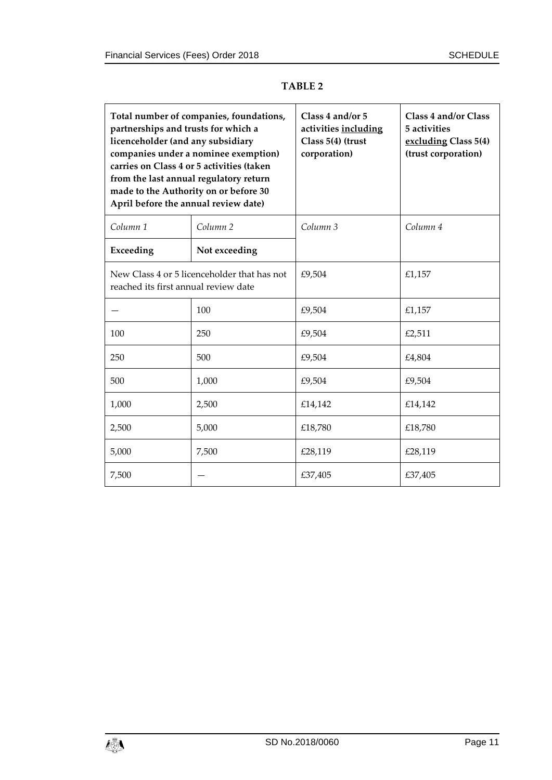| partnerships and trusts for which a<br>licenceholder (and any subsidiary<br>from the last annual regulatory return<br>made to the Authority on or before 30<br>April before the annual review date) | Total number of companies, foundations,<br>companies under a nominee exemption)<br>carries on Class 4 or 5 activities (taken | Class 4 and/or 5<br>activities including<br>Class 5(4) (trust<br>corporation) | Class 4 and/or Class<br>5 activities<br>excluding Class 5(4)<br>(trust corporation) |
|-----------------------------------------------------------------------------------------------------------------------------------------------------------------------------------------------------|------------------------------------------------------------------------------------------------------------------------------|-------------------------------------------------------------------------------|-------------------------------------------------------------------------------------|
| Column <sub>1</sub>                                                                                                                                                                                 | Column <sub>2</sub>                                                                                                          | Column <sub>3</sub>                                                           | Column 4                                                                            |
| Exceeding                                                                                                                                                                                           | Not exceeding                                                                                                                |                                                                               |                                                                                     |
| reached its first annual review date                                                                                                                                                                | New Class 4 or 5 licenceholder that has not                                                                                  | £9,504                                                                        | £1,157                                                                              |
|                                                                                                                                                                                                     | 100                                                                                                                          | £9,504                                                                        | £1,157                                                                              |
| 100                                                                                                                                                                                                 | 250                                                                                                                          | £9,504                                                                        | £2,511                                                                              |
| 250                                                                                                                                                                                                 | 500                                                                                                                          | £9,504                                                                        | £4,804                                                                              |
| 500                                                                                                                                                                                                 | 1,000                                                                                                                        | £9,504                                                                        | £9,504                                                                              |
| 1,000                                                                                                                                                                                               | 2,500                                                                                                                        | £14,142                                                                       | £14,142                                                                             |
| 2,500                                                                                                                                                                                               | 5,000                                                                                                                        | £18,780                                                                       | £18,780                                                                             |
| 5,000                                                                                                                                                                                               | 7,500                                                                                                                        | £28,119                                                                       | £28,119                                                                             |
| 7,500                                                                                                                                                                                               |                                                                                                                              | £37,405                                                                       | £37,405                                                                             |

#### **TABLE 2**